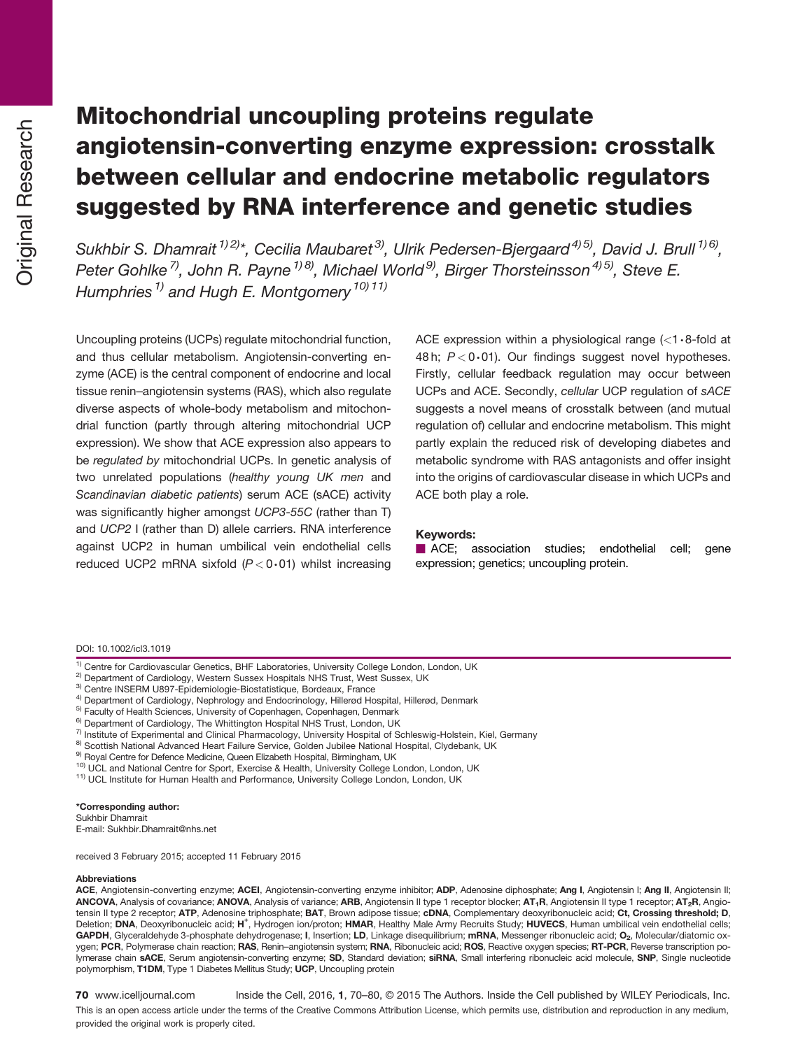# Mitochondrial uncoupling proteins regulate angiotensin-converting enzyme expression: crosstalk between cellular and endocrine metabolic regulators suggested by RNA interference and genetic studies

Sukhbir S. Dhamrait  $(1/2)^*$ , Cecilia Maubaret<sup>3)</sup>, Ulrik Pedersen-Bjergaard<sup>4) 5)</sup>, David J. Brull <sup>1) 6)</sup>, Peter Gohlke<sup>7</sup>, John R. Payne<sup>1) 8)</sup>, Michael World<sup>9)</sup>, Birger Thorsteinsson<sup>4) 5)</sup>, Steve E. Humphries<sup>1)</sup> and Hugh E. Montgomery<sup>10</sup><sup>11</sup>

Uncoupling proteins (UCPs) regulate mitochondrial function, and thus cellular metabolism. Angiotensin-converting enzyme (ACE) is the central component of endocrine and local tissue renin–angiotensin systems (RAS), which also regulate diverse aspects of whole-body metabolism and mitochondrial function (partly through altering mitochondrial UCP expression). We show that ACE expression also appears to be regulated by mitochondrial UCPs. In genetic analysis of two unrelated populations (healthy young UK men and Scandinavian diabetic patients) serum ACE (sACE) activity was significantly higher amongst UCP3-55C (rather than T) and UCP2 I (rather than D) allele carriers. RNA interference against UCP2 in human umbilical vein endothelial cells reduced UCP2 mRNA sixfold  $(P < 0.01)$  whilst increasing ACE expression within a physiological range  $\langle$  1.8-fold at 48 h;  $P < 0.01$ ). Our findings suggest novel hypotheses. Firstly, cellular feedback regulation may occur between UCPs and ACE. Secondly, cellular UCP regulation of sACE suggests a novel means of crosstalk between (and mutual regulation of) cellular and endocrine metabolism. This might partly explain the reduced risk of developing diabetes and metabolic syndrome with RAS antagonists and offer insight into the origins of cardiovascular disease in which UCPs and ACE both play a role.

#### Keywords:

**E** ACE; association studies; endothelial cell; gene expression; genetics; uncoupling protein.

#### DOI: 10.1002/icl3.1019

- 
- 
- 
- 
- 
- 
- <sup>1)</sup> Centre for Cardiovascular Genetics, BHF Laboratories, University College London, London, UK<br>
<sup>2)</sup> Department of Cardiology, Western Sussex Hospitals NHS Trust, West Sussex, UK<br>
<sup>3)</sup> Centre INSERM U897-Epidemiologie-B
- 
- 
- 

\*Corresponding author: Sukhbir Dhamrait E-mail: Sukhbir.Dhamrait@nhs.net

received 3 February 2015; accepted 11 February 2015

#### Abbreviations

ACE, Angiotensin-converting enzyme; ACEI, Angiotensin-converting enzyme inhibitor; ADP, Adenosine diphosphate; Ang I, Angiotensin I; Ang II, Angiotensin II; ANCOVA, Analysis of covariance; ANOVA, Analysis of variance; ARB, Angiotensin II type 1 receptor blocker; AT<sub>1</sub>R, Angiotensin II type 1 receptor; AT<sub>2</sub>R, Angiotensin II type 2 receptor; ATP, Adenosine triphosphate; BAT, Brown adipose tissue; cDNA, Complementary deoxyribonucleic acid; Ct, Crossing threshold; D, Deletion; DNA, Deoxyribonucleic acid; H<sup>+</sup>, Hydrogen ion/proton; HMAR, Healthy Male Army Recruits Study; HUVECS, Human umbilical vein endothelial cells; GAPDH, Glyceraldehyde 3-phosphate dehydrogenase; I, Insertion; LD, Linkage disequilibrium; mRNA, Messenger ribonucleic acid; O<sub>2</sub>, Molecular/diatomic oxygen; PCR, Polymerase chain reaction; RAS, Renin-angiotensin system; RNA, Ribonucleic acid; ROS, Reactive oxygen species; RT-PCR, Reverse transcription polymerase chain sACE, Serum angiotensin-converting enzyme; SD, Standard deviation; siRNA, Small interfering ribonucleic acid molecule, SNP, Single nucleotide polymorphism, T1DM, Type 1 Diabetes Mellitus Study; UCP, Uncoupling protein

70 www.icelljournal.com Inside the Cell, 2016, 1, 70–80, © 2015 The Authors. Inside the Cell published by WILEY Periodicals, Inc.

This is an open access article under the terms of the [Creative Commons Attribution](http://creativecommons.org/licenses/by/4.0/) License, which permits use, distribution and reproduction in any medium, provided the original work is properly cited.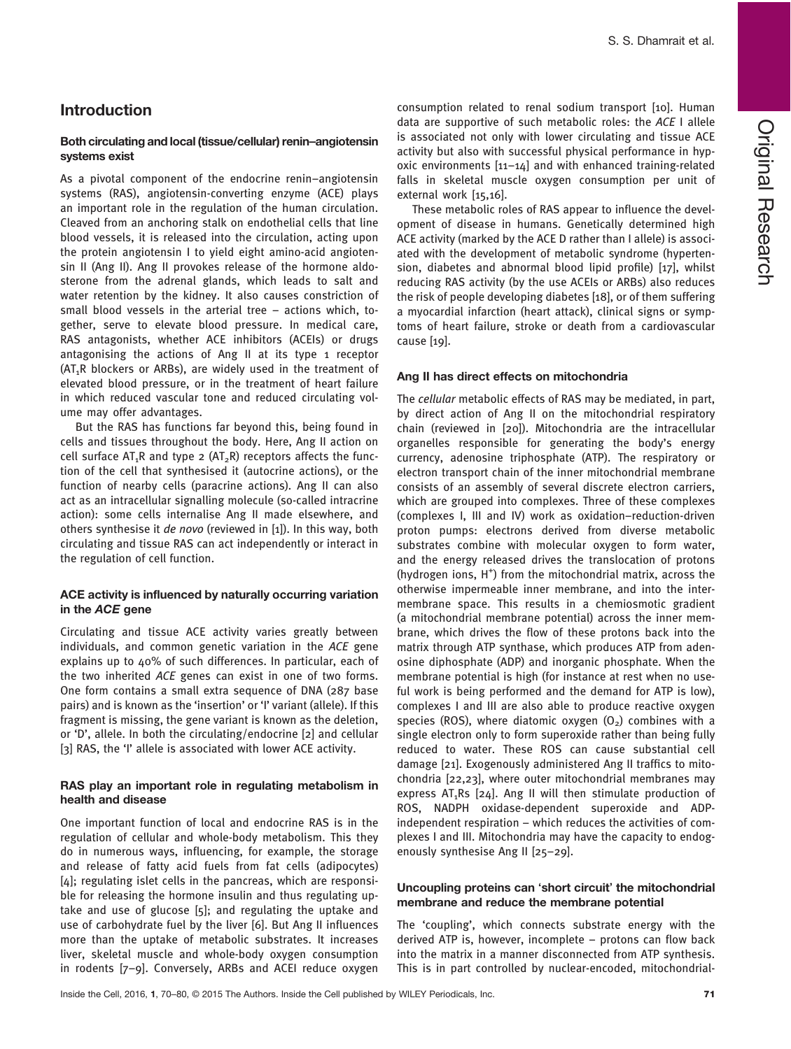# Introduction

#### Both circulating and local (tissue/cellular) renin–angiotensin systems exist

As a pivotal component of the endocrine renin–angiotensin systems (RAS), angiotensin-converting enzyme (ACE) plays an important role in the regulation of the human circulation. Cleaved from an anchoring stalk on endothelial cells that line blood vessels, it is released into the circulation, acting upon the protein angiotensin I to yield eight amino-acid angiotensin II (Ang II). Ang II provokes release of the hormone aldosterone from the adrenal glands, which leads to salt and water retention by the kidney. It also causes constriction of small blood vessels in the arterial tree – actions which, together, serve to elevate blood pressure. In medical care, RAS antagonists, whether ACE inhibitors (ACEIs) or drugs antagonising the actions of Ang II at its type 1 receptor  $(AT_1R$  blockers or ARBs), are widely used in the treatment of elevated blood pressure, or in the treatment of heart failure in which reduced vascular tone and reduced circulating volume may offer advantages.

But the RAS has functions far beyond this, being found in cells and tissues throughout the body. Here, Ang II action on cell surface  $AT_1R$  and type 2  $(AT_2R)$  receptors affects the function of the cell that synthesised it (autocrine actions), or the function of nearby cells (paracrine actions). Ang II can also act as an intracellular signalling molecule (so-called intracrine action): some cells internalise Ang II made elsewhere, and others synthesise it de novo (reviewed in [1]). In this way, both circulating and tissue RAS can act independently or interact in the regulation of cell function.

#### ACE activity is influenced by naturally occurring variation in the ACE gene

Circulating and tissue ACE activity varies greatly between individuals, and common genetic variation in the ACE gene explains up to 40% of such differences. In particular, each of the two inherited ACE genes can exist in one of two forms. One form contains a small extra sequence of DNA (287 base pairs) and is known as the 'insertion' or 'I' variant (allele). If this fragment is missing, the gene variant is known as the deletion, or 'D', allele. In both the circulating/endocrine [2] and cellular [3] RAS, the 'I' allele is associated with lower ACE activity.

#### RAS play an important role in regulating metabolism in health and disease

One important function of local and endocrine RAS is in the regulation of cellular and whole-body metabolism. This they do in numerous ways, influencing, for example, the storage and release of fatty acid fuels from fat cells (adipocytes) [4]; regulating islet cells in the pancreas, which are responsible for releasing the hormone insulin and thus regulating uptake and use of glucose [5]; and regulating the uptake and use of carbohydrate fuel by the liver [6]. But Ang II influences more than the uptake of metabolic substrates. It increases liver, skeletal muscle and whole-body oxygen consumption in rodents [7–9]. Conversely, ARBs and ACEI reduce oxygen consumption related to renal sodium transport [10]. Human data are supportive of such metabolic roles: the ACE I allele is associated not only with lower circulating and tissue ACE activity but also with successful physical performance in hypoxic environments [11–14] and with enhanced training-related falls in skeletal muscle oxygen consumption per unit of external work [15,16].

These metabolic roles of RAS appear to influence the development of disease in humans. Genetically determined high ACE activity (marked by the ACE D rather than I allele) is associated with the development of metabolic syndrome (hypertension, diabetes and abnormal blood lipid profile) [17], whilst reducing RAS activity (by the use ACEIs or ARBs) also reduces the risk of people developing diabetes [18], or of them suffering a myocardial infarction (heart attack), clinical signs or symptoms of heart failure, stroke or death from a cardiovascular cause [19].

#### Ang II has direct effects on mitochondria

The cellular metabolic effects of RAS may be mediated, in part, by direct action of Ang II on the mitochondrial respiratory chain (reviewed in [20]). Mitochondria are the intracellular organelles responsible for generating the body's energy currency, adenosine triphosphate (ATP). The respiratory or electron transport chain of the inner mitochondrial membrane consists of an assembly of several discrete electron carriers, which are grouped into complexes. Three of these complexes (complexes I, III and IV) work as oxidation–reduction-driven proton pumps: electrons derived from diverse metabolic substrates combine with molecular oxygen to form water, and the energy released drives the translocation of protons (hydrogen ions, H<sup>+</sup>) from the mitochondrial matrix, across the otherwise impermeable inner membrane, and into the intermembrane space. This results in a chemiosmotic gradient (a mitochondrial membrane potential) across the inner membrane, which drives the flow of these protons back into the matrix through ATP synthase, which produces ATP from adenosine diphosphate (ADP) and inorganic phosphate. When the membrane potential is high (for instance at rest when no useful work is being performed and the demand for ATP is low), complexes I and III are also able to produce reactive oxygen species (ROS), where diatomic oxygen  $(0, 0)$  combines with a single electron only to form superoxide rather than being fully reduced to water. These ROS can cause substantial cell damage [21]. Exogenously administered Ang II traffics to mitochondria [22,23], where outer mitochondrial membranes may express  $AT_1Rs$  [24]. Ang II will then stimulate production of ROS, NADPH oxidase-dependent superoxide and ADPindependent respiration – which reduces the activities of complexes I and III. Mitochondria may have the capacity to endogenously synthesise Ang II [25–29].

#### Uncoupling proteins can 'short circuit' the mitochondrial membrane and reduce the membrane potential

The 'coupling', which connects substrate energy with the derived ATP is, however, incomplete – protons can flow back into the matrix in a manner disconnected from ATP synthesis. This is in part controlled by nuclear-encoded, mitochondrial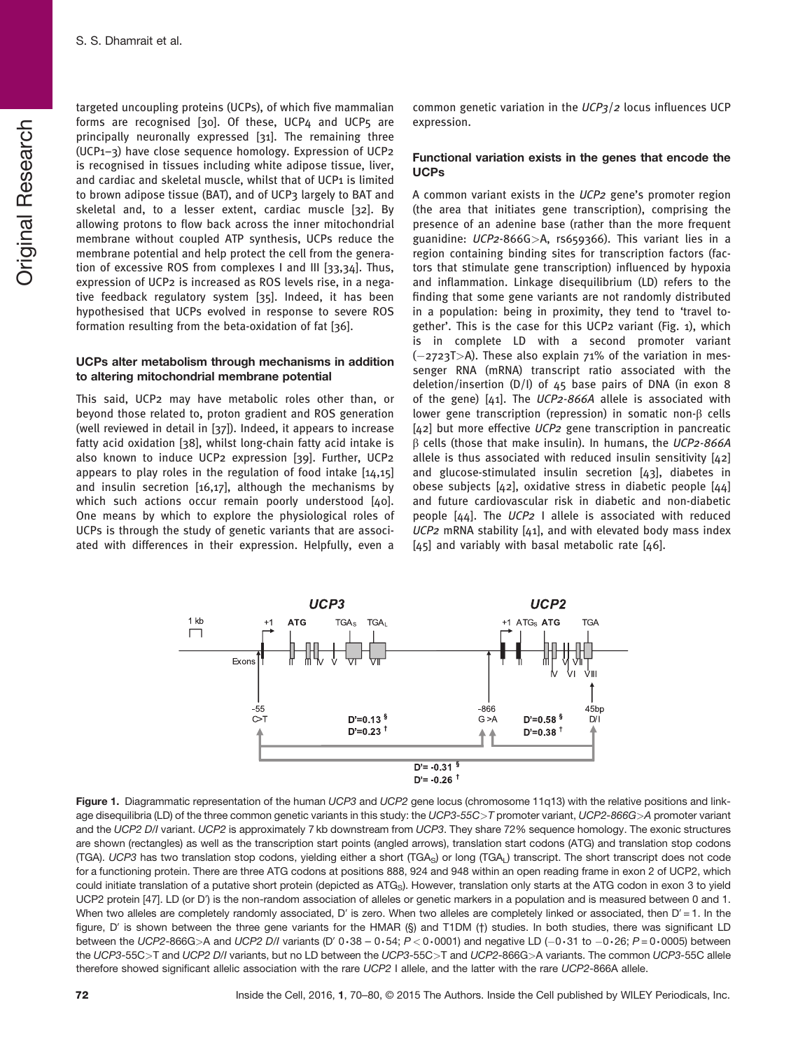**Original Research** Original Research S. S. Dhamrait et al.

targeted uncoupling proteins (UCPs), of which five mammalian forms are recognised [30]. Of these, UCP4 and UCP5 are principally neuronally expressed [31]. The remaining three (UCP1–3) have close sequence homology. Expression of UCP2 is recognised in tissues including white adipose tissue, liver, and cardiac and skeletal muscle, whilst that of UCP1 is limited to brown adipose tissue (BAT), and of UCP3 largely to BAT and skeletal and, to a lesser extent, cardiac muscle [32]. By allowing protons to flow back across the inner mitochondrial membrane without coupled ATP synthesis, UCPs reduce the membrane potential and help protect the cell from the generation of excessive ROS from complexes I and III [33,34]. Thus, expression of UCP2 is increased as ROS levels rise, in a negative feedback regulatory system [35]. Indeed, it has been hypothesised that UCPs evolved in response to severe ROS formation resulting from the beta-oxidation of fat [36].

## UCPs alter metabolism through mechanisms in addition to altering mitochondrial membrane potential

This said, UCP2 may have metabolic roles other than, or beyond those related to, proton gradient and ROS generation (well reviewed in detail in [37]). Indeed, it appears to increase fatty acid oxidation [38], whilst long-chain fatty acid intake is also known to induce UCP2 expression [39]. Further, UCP2 appears to play roles in the regulation of food intake [14,15] and insulin secretion [16,17], although the mechanisms by which such actions occur remain poorly understood [40]. One means by which to explore the physiological roles of UCPs is through the study of genetic variants that are associated with differences in their expression. Helpfully, even a

common genetic variation in the  $UCP_3/2$  locus influences UCP expression.

## Functional variation exists in the genes that encode the UCPs

A common variant exists in the UCP2 gene's promoter region (the area that initiates gene transcription), comprising the presence of an adenine base (rather than the more frequent guanidine: UCP2-866G>A, rs659366). This variant lies in a region containing binding sites for transcription factors (factors that stimulate gene transcription) influenced by hypoxia and inflammation. Linkage disequilibrium (LD) refers to the finding that some gene variants are not randomly distributed in a population: being in proximity, they tend to 'travel together'. This is the case for this UCP2 variant (Fig. 1), which is in complete LD with a second promoter variant  $(-2723T)$ . These also explain 71% of the variation in messenger RNA (mRNA) transcript ratio associated with the deletion/insertion (D/I) of 45 base pairs of DNA (in exon 8 of the gene)  $[41]$ . The UCP2-866A allele is associated with lower gene transcription (repression) in somatic non-β cells [42] but more effective UCP2 gene transcription in pancreatic β cells (those that make insulin). In humans, the UCP2-866A allele is thus associated with reduced insulin sensitivity [42] and glucose-stimulated insulin secretion [43], diabetes in obese subjects [42], oxidative stress in diabetic people [44] and future cardiovascular risk in diabetic and non-diabetic people [44]. The UCP2 I allele is associated with reduced  $UCP2$  mRNA stability [41], and with elevated body mass index  $[45]$  and variably with basal metabolic rate  $[46]$ .



Figure 1. Diagrammatic representation of the human UCP3 and UCP2 gene locus (chromosome 11q13) with the relative positions and linkage disequilibria (LD) of the three common genetic variants in this study: the UCP3-55C>T promoter variant, UCP2-866G>A promoter variant and the UCP2 D/I variant. UCP2 is approximately 7 kb downstream from UCP3. They share 72% sequence homology. The exonic structures are shown (rectangles) as well as the transcription start points (angled arrows), translation start codons (ATG) and translation stop codons (TGA). UCP3 has two translation stop codons, yielding either a short (TGA<sub>S</sub>) or long (TGA<sub>I</sub>) transcript. The short transcript does not code for a functioning protein. There are three ATG codons at positions 888, 924 and 948 within an open reading frame in exon 2 of UCP2, which could initiate translation of a putative short protein (depicted as ATG<sub>S</sub>). However, translation only starts at the ATG codon in exon 3 to yield UCP2 protein [47]. LD (or D') is the non-random association of alleles or genetic markers in a population and is measured between 0 and 1. When two alleles are completely randomly associated, D' is zero. When two alleles are completely linked or associated, then  $D' = 1$ . In the figure, D' is shown between the three gene variants for the HMAR (§) and T1DM (†) studies. In both studies, there was significant LD between the UCP2-866G>A and UCP2 D/I variants (D' 0·38 – 0·54;  $P < 0.0001$ ) and negative LD (-0·31 to -0·26;  $P = 0.0005$ ) between the UCP3-55C>T and UCP2 D/I variants, but no LD between the UCP3-55C>T and UCP2-866G>A variants. The common UCP3-55C allele therefore showed significant allelic association with the rare UCP2 I allele, and the latter with the rare UCP2-866A allele.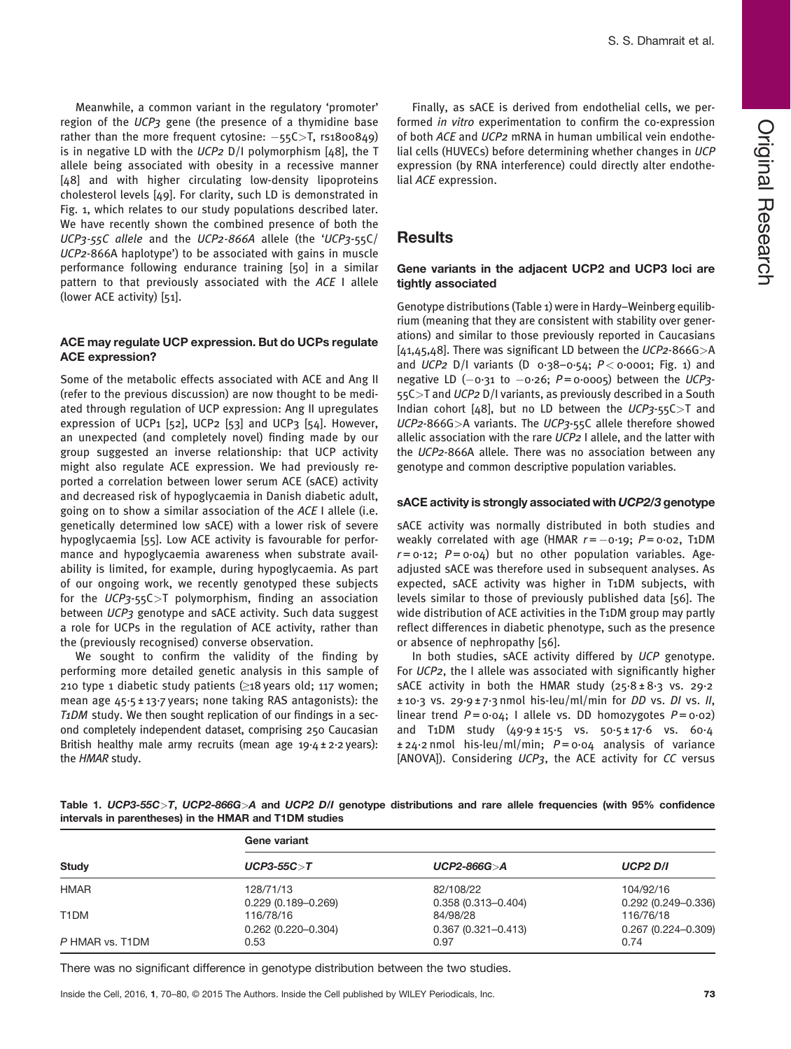Meanwhile, a common variant in the regulatory 'promoter' region of the UCP3 gene (the presence of a thymidine base rather than the more frequent cytosine:  $-55C>$ T, rs1800849) is in negative LD with the  $UCP2$  D/I polymorphism [48], the T allele being associated with obesity in a recessive manner [48] and with higher circulating low-density lipoproteins cholesterol levels [49]. For clarity, such LD is demonstrated in Fig. 1, which relates to our study populations described later. We have recently shown the combined presence of both the UCP3-55C allele and the UCP2-866A allele (the 'UCP3-55C/ UCP2-866A haplotype') to be associated with gains in muscle performance following endurance training [50] in a similar pattern to that previously associated with the ACE I allele (lower ACE activity) [51].

#### ACE may regulate UCP expression. But do UCPs regulate ACE expression?

Some of the metabolic effects associated with ACE and Ang II (refer to the previous discussion) are now thought to be mediated through regulation of UCP expression: Ang II upregulates expression of UCP1 [52], UCP2 [53] and UCP3 [54]. However, an unexpected (and completely novel) finding made by our group suggested an inverse relationship: that UCP activity might also regulate ACE expression. We had previously reported a correlation between lower serum ACE (sACE) activity and decreased risk of hypoglycaemia in Danish diabetic adult, going on to show a similar association of the ACE I allele (i.e. genetically determined low sACE) with a lower risk of severe hypoglycaemia [55]. Low ACE activity is favourable for performance and hypoglycaemia awareness when substrate availability is limited, for example, during hypoglycaemia. As part of our ongoing work, we recently genotyped these subjects for the  $UCP_3$ -55C $>$ T polymorphism, finding an association between UCP3 genotype and sACE activity. Such data suggest a role for UCPs in the regulation of ACE activity, rather than the (previously recognised) converse observation.

We sought to confirm the validity of the finding by performing more detailed genetic analysis in this sample of 210 type 1 diabetic study patients  $(≥18$  years old; 117 women; mean age 45·5 ± 13·7 years; none taking RAS antagonists): the T1DM study. We then sought replication of our findings in a second completely independent dataset, comprising 250 Caucasian British healthy male army recruits (mean age  $19.4 \pm 2.2$  years): the HMAR study.

Finally, as sACE is derived from endothelial cells, we performed in vitro experimentation to confirm the co-expression of both ACE and UCP2 mRNA in human umbilical vein endothelial cells (HUVECs) before determining whether changes in UCP expression (by RNA interference) could directly alter endothelial ACE expression.

## **Results**

#### Gene variants in the adjacent UCP2 and UCP3 loci are tightly associated

Genotype distributions (Table 1) were in Hardy–Weinberg equilibrium (meaning that they are consistent with stability over generations) and similar to those previously reported in Caucasians  $[41, 45, 48]$ . There was significant LD between the UCP2-866G > A and UCP2 D/I variants (D  $0.38-0.54$ ;  $P < 0.0001$ ; Fig. 1) and negative LD  $(-0.31 \text{ to } -0.26; P = 0.0005)$  between the UCP3-55C>T and UCP2 D/I variants, as previously described in a South Indian cohort [48], but no LD between the  $UCP_3$ -55C $>$ T and UCP2-866G>A variants. The UCP3-55C allele therefore showed allelic association with the rare UCP2 I allele, and the latter with the UCP2-866A allele. There was no association between any genotype and common descriptive population variables.

#### sACE activity is strongly associated with UCP2/3 genotype

sACE activity was normally distributed in both studies and weakly correlated with age (HMAR  $r = -0.19$ ;  $P = 0.02$ , T1DM  $r = 0.12$ ;  $P = 0.04$ ) but no other population variables. Ageadjusted sACE was therefore used in subsequent analyses. As expected, sACE activity was higher in T1DM subjects, with levels similar to those of previously published data [56]. The wide distribution of ACE activities in the T1DM group may partly reflect differences in diabetic phenotype, such as the presence or absence of nephropathy [56].

In both studies, sACE activity differed by UCP genotype. For UCP2, the I allele was associated with significantly higher sACE activity in both the HMAR study (25·8 ± 8·3 vs. 29·2 ± 10·3 vs. 29·9 ± 7·3 nmol his-leu/ml/min for DD vs. DI vs. II, linear trend  $P = 0.04$ ; I allele vs. DD homozygotes  $P = 0.02$ ) and T1DM study (49·9 ± 15·5 vs. 50·5 ± 17·6 vs. 60·4  $\pm$  24.2 nmol his-leu/ml/min;  $P = 0.04$  analysis of variance [ANOVA]). Considering UCP3, the ACE activity for CC versus

Table 1. UCP3-55C>T, UCP2-866G>A and UCP2 D/I genotype distributions and rare allele frequencies (with 95% confidence intervals in parentheses) in the HMAR and T1DM studies

| <b>Study</b>      | Gene variant                        |                                     |                                     |  |
|-------------------|-------------------------------------|-------------------------------------|-------------------------------------|--|
|                   | $UCP3-55C > T$                      | $UCP2-866G > A$                     | <b>UCP2 D/I</b>                     |  |
| <b>HMAR</b>       | 128/71/13<br>$0.229(0.189 - 0.269)$ | 82/108/22<br>$0.358(0.313 - 0.404)$ | 104/92/16<br>$0.292(0.249 - 0.336)$ |  |
| T <sub>1</sub> DM | 116/78/16<br>$0.262(0.220 - 0.304)$ | 84/98/28<br>$0.367(0.321 - 0.413)$  | 116/76/18<br>$0.267(0.224 - 0.309)$ |  |
| P HMAR vs. T1DM   | 0.53                                | 0.97                                | 0.74                                |  |

There was no significant difference in genotype distribution between the two studies.

Inside the Cell, 2016, 1, 70–80, © 2015 The Authors. Inside the Cell published by WILEY Periodicals, Inc. 73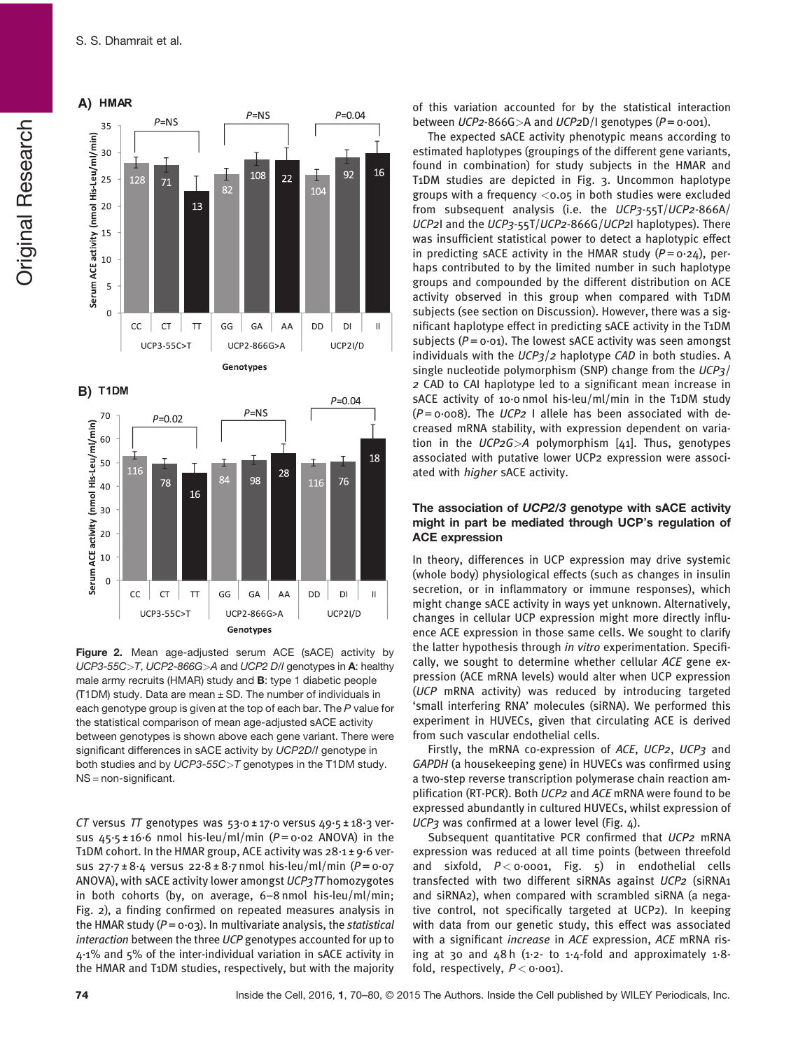**Original Research** Original Research



**B)**



Figure 2. Mean age-adjusted serum ACE (sACE) activity by UCP3-55C>T, UCP2-866G>A and UCP2 D/I genotypes in A: healthy male army recruits (HMAR) study and B: type 1 diabetic people (T1DM) study. Data are mean  $\pm$  SD. The number of individuals in each genotype group is given at the top of each bar. The P value for the statistical comparison of mean age-adjusted sACE activity between genotypes is shown above each gene variant. There were significant differences in sACE activity by UCP2D/I genotype in both studies and by UCP3-55C>T genotypes in the T1DM study. NS = non-significant.

CT versus TT genotypes was  $53.0 \pm 17.0$  versus  $49.5 \pm 18.3$  versus  $45.5 \pm 16.6$  nmol his-leu/ml/min ( $P = 0.02$  ANOVA) in the T1DM cohort. In the HMAR group, ACE activity was 28·1 ± 9·6 versus  $27.7 \pm 8.4$  versus  $22.8 \pm 8.7$  nmol his-leu/ml/min ( $P = 0.07$ ANOVA), with sACE activity lower amongst UCP3TT homozygotes in both cohorts (by, on average, 6–8 nmol his-leu/ml/min; Fig. 2), a finding confirmed on repeated measures analysis in the HMAR study ( $P = 0.03$ ). In multivariate analysis, the statistical interaction between the three UCP genotypes accounted for up to 4·1% and 5% of the inter-individual variation in sACE activity in the HMAR and T1DM studies, respectively, but with the majority of this variation accounted for by the statistical interaction between UCP2-866G>A and UCP2D/I genotypes ( $P = 0.001$ ).

The expected sACE activity phenotypic means according to estimated haplotypes (groupings of the different gene variants, found in combination) for study subjects in the HMAR and T1DM studies are depicted in Fig. 3. Uncommon haplotype groups with a frequency <0.05 in both studies were excluded from subsequent analysis (i.e. the UCP3-55T/UCP2-866A/ UCP2I and the UCP3-55T/UCP2-866G/UCP2I haplotypes). There was insufficient statistical power to detect a haplotypic effect in predicting sACE activity in the HMAR study  $(P = 0.24)$ , perhaps contributed to by the limited number in such haplotype groups and compounded by the different distribution on ACE activity observed in this group when compared with T1DM subjects (see section on Discussion). However, there was a significant haplotype effect in predicting sACE activity in the T1DM subjects ( $P = 0.01$ ). The lowest sACE activity was seen amongst individuals with the  $UCP_3/2$  haplotype CAD in both studies. A single nucleotide polymorphism (SNP) change from the UCP3/ 2 CAD to CAI haplotype led to a significant mean increase in sACE activity of 10.0 nmol his-leu/ml/min in the T1DM study  $(P = 0.008)$ . The UCP2 I allele has been associated with decreased mRNA stability, with expression dependent on variation in the  $UCP2G>A$  polymorphism [41]. Thus, genotypes associated with putative lower UCP2 expression were associated with higher sACE activity.

### The association of UCP2/3 genotype with sACE activity might in part be mediated through UCP's regulation of ACE expression

In theory, differences in UCP expression may drive systemic (whole body) physiological effects (such as changes in insulin secretion, or in inflammatory or immune responses), which might change sACE activity in ways yet unknown. Alternatively, changes in cellular UCP expression might more directly influence ACE expression in those same cells. We sought to clarify the latter hypothesis through in vitro experimentation. Specifically, we sought to determine whether cellular ACE gene expression (ACE mRNA levels) would alter when UCP expression (UCP mRNA activity) was reduced by introducing targeted 'small interfering RNA' molecules (siRNA). We performed this experiment in HUVECs, given that circulating ACE is derived from such vascular endothelial cells.

Firstly, the mRNA co-expression of ACE, UCP2, UCP3 and GAPDH (a housekeeping gene) in HUVECs was confirmed using a two-step reverse transcription polymerase chain reaction amplification (RT-PCR). Both UCP2 and ACE mRNA were found to be expressed abundantly in cultured HUVECs, whilst expression of UCP3 was confirmed at a lower level (Fig. 4).

Subsequent quantitative PCR confirmed that UCP2 mRNA expression was reduced at all time points (between threefold and sixfold,  $P < 0.0001$ , Fig. 5) in endothelial cells transfected with two different siRNAs against UCP2 (siRNA1 and siRNA2), when compared with scrambled siRNA (a negative control, not specifically targeted at UCP2). In keeping with data from our genetic study, this effect was associated with a significant *increase* in ACE expression, ACE mRNA rising at 30 and  $48 h$  (1.2- to 1.4-fold and approximately 1.8fold, respectively,  $P < 0.001$ ).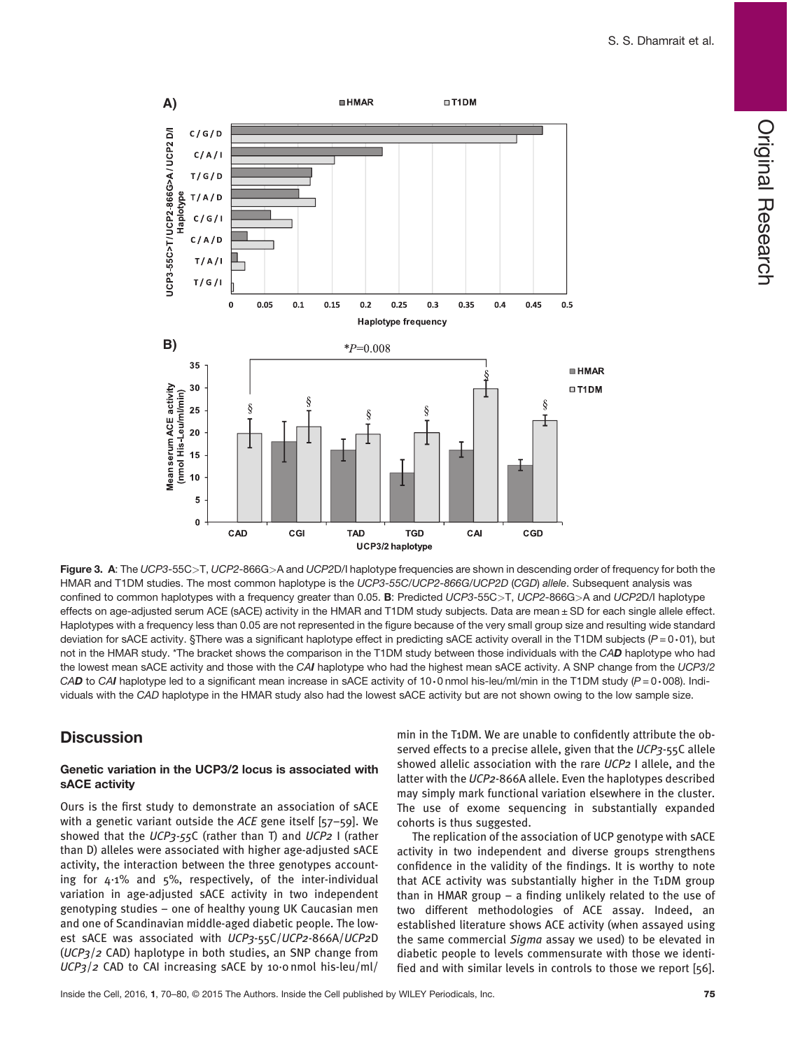

Figure 3. A: The UCP3-55C>T, UCP2-866G>A and UCP2D/I haplotype frequencies are shown in descending order of frequency for both the HMAR and T1DM studies. The most common haplotype is the UCP3-55C/UCP2-866G/UCP2D (CGD) allele. Subsequent analysis was confined to common haplotypes with a frequency greater than 0.05. B: Predicted UCP3-55C>T, UCP2-866G>A and UCP2D/I haplotype effects on age-adjusted serum ACE (sACE) activity in the HMAR and T1DM study subjects. Data are mean ± SD for each single allele effect. Haplotypes with a frequency less than 0.05 are not represented in the figure because of the very small group size and resulting wide standard deviation for sACE activity. §There was a significant haplotype effect in predicting sACE activity overall in the T1DM subjects  $(P = 0.01)$ , but not in the HMAR study. \*The bracket shows the comparison in the T1DM study between those individuals with the CAD haplotype who had the lowest mean sACE activity and those with the CAI haplotype who had the highest mean sACE activity. A SNP change from the UCP3/2 CAD to CAI haplotype led to a significant mean increase in sACE activity of 10.0 nmol his-leu/ml/min in the T1DM study ( $P = 0.008$ ). Individuals with the CAD haplotype in the HMAR study also had the lowest sACE activity but are not shown owing to the low sample size.

# **Discussion**

#### Genetic variation in the UCP3/2 locus is associated with sACE activity

Ours is the first study to demonstrate an association of sACE with a genetic variant outside the ACE gene itself [57-59]. We showed that the UCP3-55C (rather than T) and UCP2 I (rather than D) alleles were associated with higher age-adjusted sACE activity, the interaction between the three genotypes accounting for  $4.1\%$  and  $5\%$ , respectively, of the inter-individual variation in age-adjusted sACE activity in two independent genotyping studies – one of healthy young UK Caucasian men and one of Scandinavian middle-aged diabetic people. The lowest sACE was associated with UCP3-55C/UCP2-866A/UCP2D  $(UCP<sub>3</sub>/2$  CAD) haplotype in both studies, an SNP change from UCP3/2 CAD to CAI increasing sACE by 10·0 nmol his-leu/ml/ min in the T1DM. We are unable to confidently attribute the observed effects to a precise allele, given that the UCP3-55C allele showed allelic association with the rare UCP2 I allele, and the latter with the UCP2-866A allele. Even the haplotypes described may simply mark functional variation elsewhere in the cluster. The use of exome sequencing in substantially expanded cohorts is thus suggested.

The replication of the association of UCP genotype with sACE activity in two independent and diverse groups strengthens confidence in the validity of the findings. It is worthy to note that ACE activity was substantially higher in the T1DM group than in HMAR group – a finding unlikely related to the use of two different methodologies of ACE assay. Indeed, an established literature shows ACE activity (when assayed using the same commercial Sigma assay we used) to be elevated in diabetic people to levels commensurate with those we identified and with similar levels in controls to those we report [56].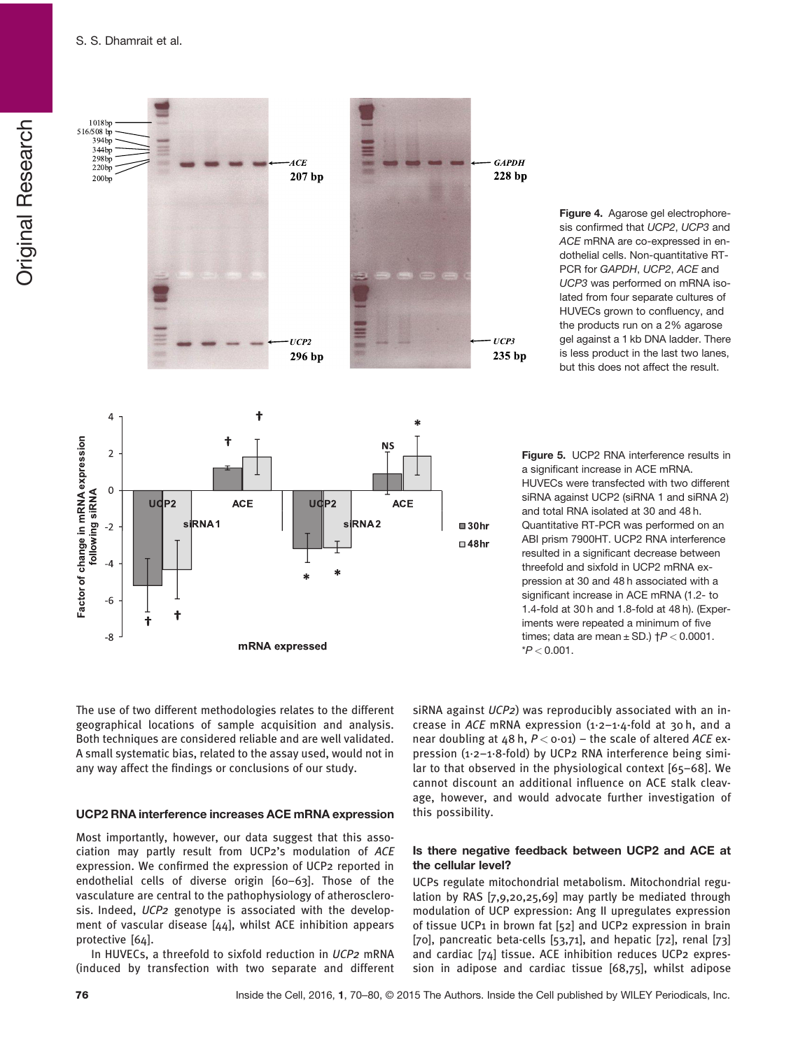

Figure 4. Agarose gel electrophoresis confirmed that UCP2, UCP3 and ACE mRNA are co-expressed in endothelial cells. Non-quantitative RT-PCR for GAPDH, UCP2, ACE and UCP3 was performed on mRNA isolated from four separate cultures of HUVECs grown to confluency, and the products run on a 2% agarose gel against a 1 kb DNA ladder. There is less product in the last two lanes, but this does not affect the result.

Figure 5. UCP2 RNA interference results in a significant increase in ACE mRNA. HUVECs were transfected with two different siRNA against UCP2 (siRNA 1 and siRNA 2) and total RNA isolated at 30 and 48 h. Quantitative RT-PCR was performed on an ABI prism 7900HT. UCP2 RNA interference resulted in a significant decrease between threefold and sixfold in UCP2 mRNA expression at 30 and 48 h associated with a significant increase in ACE mRNA (1.2- to 1.4-fold at 30 h and 1.8-fold at 48 h). (Experiments were repeated a minimum of five times; data are mean  $\pm$  SD.)  $\uparrow$ P < 0.0001.  $*P < 0.001$ .

The use of two different methodologies relates to the different geographical locations of sample acquisition and analysis. Both techniques are considered reliable and are well validated. A small systematic bias, related to the assay used, would not in any way affect the findings or conclusions of our study.

#### UCP2 RNA interference increases ACE mRNA expression

Most importantly, however, our data suggest that this association may partly result from UCP2's modulation of ACE expression. We confirmed the expression of UCP2 reported in endothelial cells of diverse origin [60–63]. Those of the vasculature are central to the pathophysiology of atherosclerosis. Indeed, UCP2 genotype is associated with the development of vascular disease [44], whilst ACE inhibition appears protective [64].

In HUVECs, a threefold to sixfold reduction in UCP2 mRNA (induced by transfection with two separate and different siRNA against UCP2) was reproducibly associated with an increase in ACE mRNA expression  $(1.2 - 1.4 - 1.6)$  at 30 h, and a near doubling at 48 h,  $P <$  0 $\cdot$ 01) – the scale of altered ACE expression (1·2–1·8-fold) by UCP2 RNA interference being similar to that observed in the physiological context [65–68]. We cannot discount an additional influence on ACE stalk cleavage, however, and would advocate further investigation of this possibility.

#### Is there negative feedback between UCP2 and ACE at the cellular level?

UCPs regulate mitochondrial metabolism. Mitochondrial regulation by RAS [7,9,20,25,69] may partly be mediated through modulation of UCP expression: Ang II upregulates expression of tissue UCP1 in brown fat [52] and UCP2 expression in brain [70], pancreatic beta-cells [53,71], and hepatic [72], renal [73] and cardiac [74] tissue. ACE inhibition reduces UCP2 expression in adipose and cardiac tissue [68,75], whilst adipose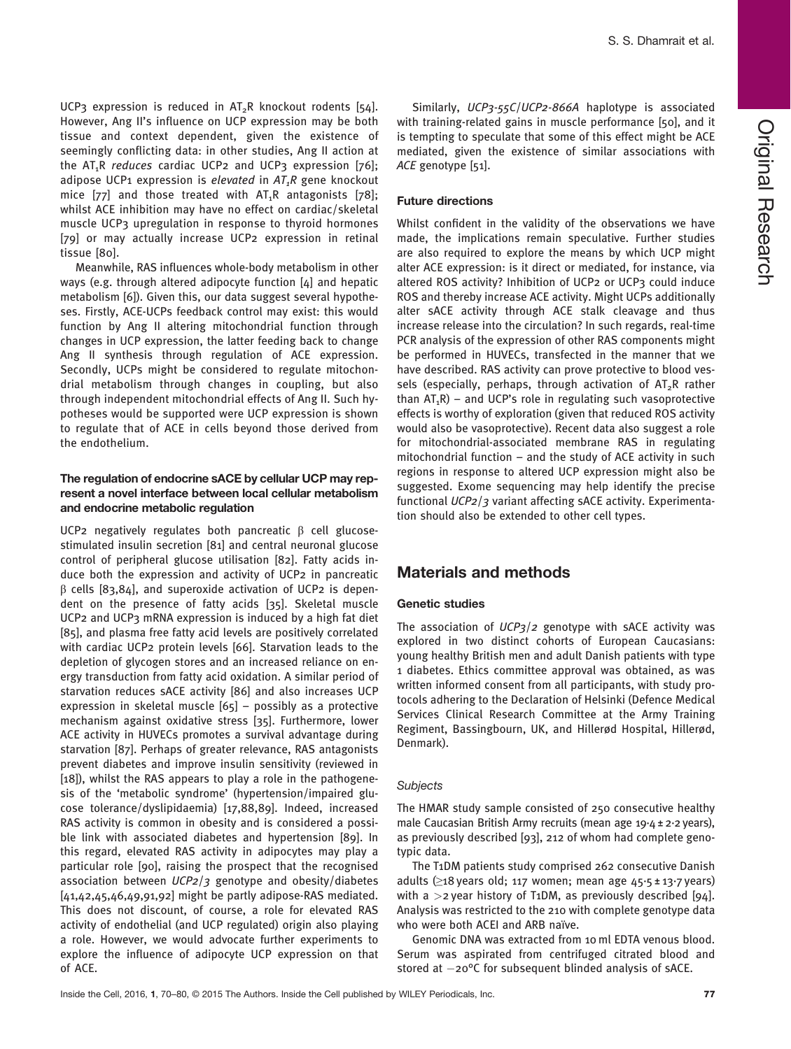UCP3 expression is reduced in  $AT_2R$  knockout rodents [54]. However, Ang II's influence on UCP expression may be both tissue and context dependent, given the existence of seemingly conflicting data: in other studies, Ang II action at the  $AT_1R$  reduces cardiac UCP2 and UCP3 expression [76]; adipose UCP1 expression is elevated in  $AT_1R$  gene knockout mice  $[77]$  and those treated with  $AT_1R$  antagonists  $[78]$ ; whilst ACE inhibition may have no effect on cardiac/skeletal muscle UCP3 upregulation in response to thyroid hormones [79] or may actually increase UCP2 expression in retinal tissue [80].

Meanwhile, RAS influences whole-body metabolism in other ways (e.g. through altered adipocyte function [4] and hepatic metabolism [6]). Given this, our data suggest several hypotheses. Firstly, ACE-UCPs feedback control may exist: this would function by Ang II altering mitochondrial function through changes in UCP expression, the latter feeding back to change Ang II synthesis through regulation of ACE expression. Secondly, UCPs might be considered to regulate mitochondrial metabolism through changes in coupling, but also through independent mitochondrial effects of Ang II. Such hypotheses would be supported were UCP expression is shown to regulate that of ACE in cells beyond those derived from the endothelium.

## The regulation of endocrine sACE by cellular UCP may represent a novel interface between local cellular metabolism and endocrine metabolic regulation

UCP2 negatively regulates both pancreatic β cell glucosestimulated insulin secretion [81] and central neuronal glucose control of peripheral glucose utilisation [82]. Fatty acids induce both the expression and activity of UCP2 in pancreatic β cells [83,84], and superoxide activation of UCP2 is dependent on the presence of fatty acids [35]. Skeletal muscle UCP2 and UCP3 mRNA expression is induced by a high fat diet [85], and plasma free fatty acid levels are positively correlated with cardiac UCP2 protein levels [66]. Starvation leads to the depletion of glycogen stores and an increased reliance on energy transduction from fatty acid oxidation. A similar period of starvation reduces sACE activity [86] and also increases UCP expression in skeletal muscle [65] – possibly as a protective mechanism against oxidative stress [35]. Furthermore, lower ACE activity in HUVECs promotes a survival advantage during starvation [87]. Perhaps of greater relevance, RAS antagonists prevent diabetes and improve insulin sensitivity (reviewed in [18]), whilst the RAS appears to play a role in the pathogenesis of the 'metabolic syndrome' (hypertension/impaired glucose tolerance/dyslipidaemia) [17,88,89]. Indeed, increased RAS activity is common in obesity and is considered a possible link with associated diabetes and hypertension [89]. In this regard, elevated RAS activity in adipocytes may play a particular role [90], raising the prospect that the recognised association between  $UCP2/3$  genotype and obesity/diabetes [41,42,45,46,49,91,92] might be partly adipose-RAS mediated. This does not discount, of course, a role for elevated RAS activity of endothelial (and UCP regulated) origin also playing a role. However, we would advocate further experiments to explore the influence of adipocyte UCP expression on that of ACE.

Similarly, UCP3-55C/UCP2-866A haplotype is associated with training-related gains in muscle performance [50], and it is tempting to speculate that some of this effect might be ACE mediated, given the existence of similar associations with ACE genotype [51].

#### Future directions

Whilst confident in the validity of the observations we have made, the implications remain speculative. Further studies are also required to explore the means by which UCP might alter ACE expression: is it direct or mediated, for instance, via altered ROS activity? Inhibition of UCP2 or UCP3 could induce ROS and thereby increase ACE activity. Might UCPs additionally alter sACE activity through ACE stalk cleavage and thus increase release into the circulation? In such regards, real-time PCR analysis of the expression of other RAS components might be performed in HUVECs, transfected in the manner that we have described. RAS activity can prove protective to blood vessels (especially, perhaps, through activation of  $AT_2R$  rather than  $AT_1R$ ) – and UCP's role in regulating such vasoprotective effects is worthy of exploration (given that reduced ROS activity would also be vasoprotective). Recent data also suggest a role for mitochondrial-associated membrane RAS in regulating mitochondrial function – and the study of ACE activity in such regions in response to altered UCP expression might also be suggested. Exome sequencing may help identify the precise functional UCP2/3 variant affecting sACE activity. Experimentation should also be extended to other cell types.

## Materials and methods

#### Genetic studies

The association of  $UCP_3/2$  genotype with sACE activity was explored in two distinct cohorts of European Caucasians: young healthy British men and adult Danish patients with type 1 diabetes. Ethics committee approval was obtained, as was written informed consent from all participants, with study protocols adhering to the Declaration of Helsinki (Defence Medical Services Clinical Research Committee at the Army Training Regiment, Bassingbourn, UK, and Hillerød Hospital, Hillerød, Denmark).

#### **Subjects**

The HMAR study sample consisted of 250 consecutive healthy male Caucasian British Army recruits (mean age 19·4 ± 2·2 years), as previously described [93], 212 of whom had complete genotypic data.

The T1DM patients study comprised 262 consecutive Danish adults ( $\geq$ 18 years old; 117 women; mean age 45.5 ± 13.7 years) with a  $>$ 2 year history of T1DM, as previously described [94]. Analysis was restricted to the 210 with complete genotype data who were both ACEI and ARB naïve.

Genomic DNA was extracted from 10 ml EDTA venous blood. Serum was aspirated from centrifuged citrated blood and stored at  $-20^{\circ}$ C for subsequent blinded analysis of sACE.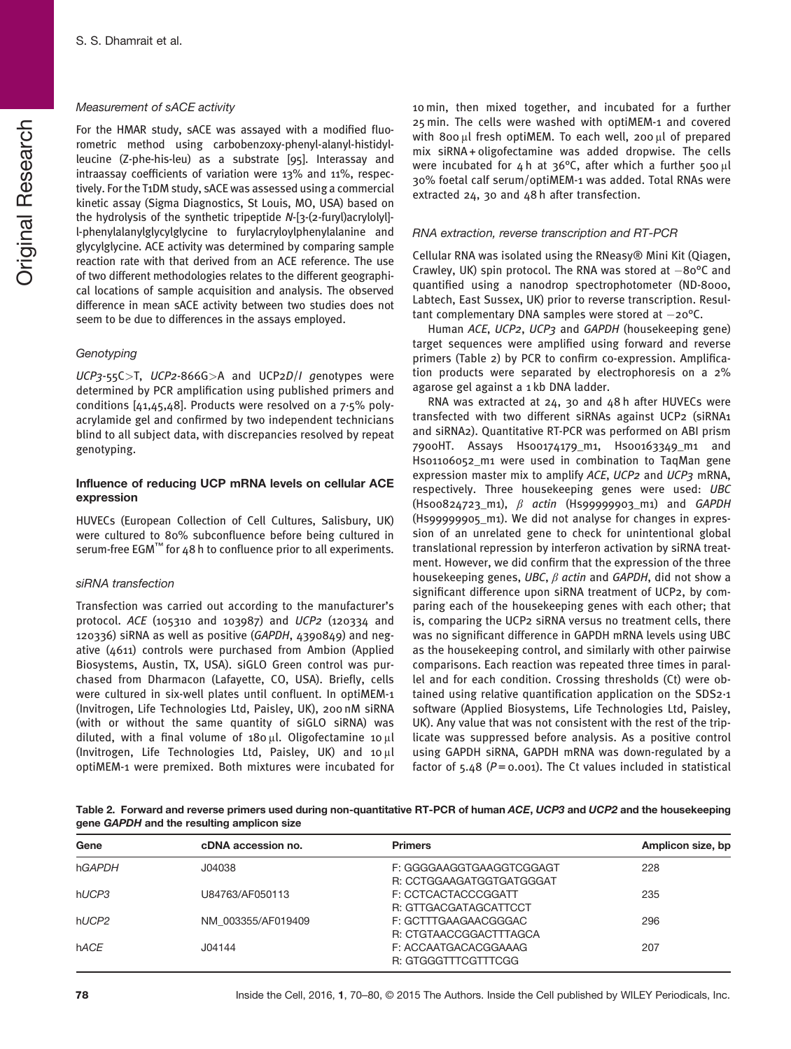#### Measurement of sACE activity

For the HMAR study, sACE was assayed with a modified fluorometric method using carbobenzoxy-phenyl-alanyl-histidylleucine (Z-phe-his-leu) as a substrate [95]. Interassay and intraassay coefficients of variation were 13% and 11%, respectively. For the T1DM study, sACE was assessed using a commercial kinetic assay (Sigma Diagnostics, St Louis, MO, USA) based on the hydrolysis of the synthetic tripeptide N-[3-(2-furyl)acrylolyl] l-phenylalanylglycylglycine to furylacryloylphenylalanine and glycylglycine. ACE activity was determined by comparing sample reaction rate with that derived from an ACE reference. The use of two different methodologies relates to the different geographical locations of sample acquisition and analysis. The observed difference in mean sACE activity between two studies does not seem to be due to differences in the assays employed.

#### **Genotyping**

 $UCP3-55C>T$ ,  $UCP2-866G>A$  and  $UCP2D/I$  genotypes were determined by PCR amplification using published primers and conditions [41,45,48]. Products were resolved on a 7·5% polyacrylamide gel and confirmed by two independent technicians blind to all subject data, with discrepancies resolved by repeat genotyping.

#### Influence of reducing UCP mRNA levels on cellular ACE expression

HUVECs (European Collection of Cell Cultures, Salisbury, UK) were cultured to 80% subconfluence before being cultured in serum-free EGM™ for 48 h to confluence prior to all experiments.

#### siRNA transfection

Transfection was carried out according to the manufacturer's protocol. ACE (105310 and 103987) and UCP2 (120334 and 120336) siRNA as well as positive (GAPDH, 4390849) and negative (4611) controls were purchased from Ambion (Applied Biosystems, Austin, TX, USA). siGLO Green control was purchased from Dharmacon (Lafayette, CO, USA). Briefly, cells were cultured in six-well plates until confluent. In optiMEM-1 (Invitrogen, Life Technologies Ltd, Paisley, UK), 200 nM siRNA (with or without the same quantity of siGLO siRNA) was diluted, with a final volume of 180 μl. Oligofectamine 10 μl (Invitrogen, Life Technologies Ltd, Paisley, UK) and 10 μl optiMEM-1 were premixed. Both mixtures were incubated for 10 min, then mixed together, and incubated for a further 25 min. The cells were washed with optiMEM-1 and covered with 800 μl fresh optiMEM. To each well, 200 μl of prepared mix siRNA + oligofectamine was added dropwise. The cells were incubated for 4 h at 36°C, after which a further 500 μl 30% foetal calf serum/optiMEM-1 was added. Total RNAs were extracted 24, 30 and 48 h after transfection.

#### RNA extraction, reverse transcription and RT-PCR

Cellular RNA was isolated using the RNeasy® Mini Kit (Qiagen, Crawley, UK) spin protocol. The RNA was stored at  $-80^{\circ}$ C and quantified using a nanodrop spectrophotometer (ND-8000, Labtech, East Sussex, UK) prior to reverse transcription. Resultant complementary DNA samples were stored at  $-20^{\circ}$ C.

Human ACE, UCP2, UCP3 and GAPDH (housekeeping gene) target sequences were amplified using forward and reverse primers (Table 2) by PCR to confirm co-expression. Amplification products were separated by electrophoresis on a 2% agarose gel against a 1 kb DNA ladder.

RNA was extracted at 24, 30 and 48 h after HUVECs were transfected with two different siRNAs against UCP2 (siRNA1 and siRNA2). Quantitative RT-PCR was performed on ABI prism 7900HT. Assays Hs00174179\_m1, Hs00163349\_m1 and Hs01106052 m1 were used in combination to TaqMan gene expression master mix to amplify ACE, UCP2 and UCP3 mRNA, respectively. Three housekeeping genes were used: UBC  $(Hsoo824723_m1), \beta$  actin  $(Hsog999903_m1)$  and GAPDH (Hs99999905\_m1). We did not analyse for changes in expression of an unrelated gene to check for unintentional global translational repression by interferon activation by siRNA treatment. However, we did confirm that the expression of the three housekeeping genes, UBC,  $\beta$  actin and GAPDH, did not show a significant difference upon siRNA treatment of UCP2, by comparing each of the housekeeping genes with each other; that is, comparing the UCP2 siRNA versus no treatment cells, there was no significant difference in GAPDH mRNA levels using UBC as the housekeeping control, and similarly with other pairwise comparisons. Each reaction was repeated three times in parallel and for each condition. Crossing thresholds (Ct) were obtained using relative quantification application on the SDS2·1 software (Applied Biosystems, Life Technologies Ltd, Paisley, UK). Any value that was not consistent with the rest of the triplicate was suppressed before analysis. As a positive control using GAPDH siRNA, GAPDH mRNA was down-regulated by a factor of 5.48 ( $P = 0.001$ ). The Ct values included in statistical

Table 2. Forward and reverse primers used during non-quantitative RT-PCR of human ACE, UCP3 and UCP2 and the housekeeping gene GAPDH and the resulting amplicon size

| Gene              | cDNA accession no. | <b>Primers</b>           | Amplicon size, bp |
|-------------------|--------------------|--------------------------|-------------------|
| hGAPDH            | J04038             | F: GGGGAAGGTGAAGGTCGGAGT | 228               |
|                   |                    | R: CCTGGAAGATGGTGATGGGAT |                   |
| hUCP3             | U84763/AF050113    | F: CCTCACTACCCGGATT      | 235               |
|                   |                    | R: GTTGACGATAGCATTCCT    |                   |
| hUCP <sub>2</sub> | NM 003355/AF019409 | F: GCTTTGAAGAACGGGAC     | 296               |
|                   |                    | R: CTGTAACCGGACTTTAGCA   |                   |
| hACE              | J04144             | F: ACCAATGACACGGAAAG     | 207               |
|                   |                    | R: GTGGGTTTCGTTTCGG      |                   |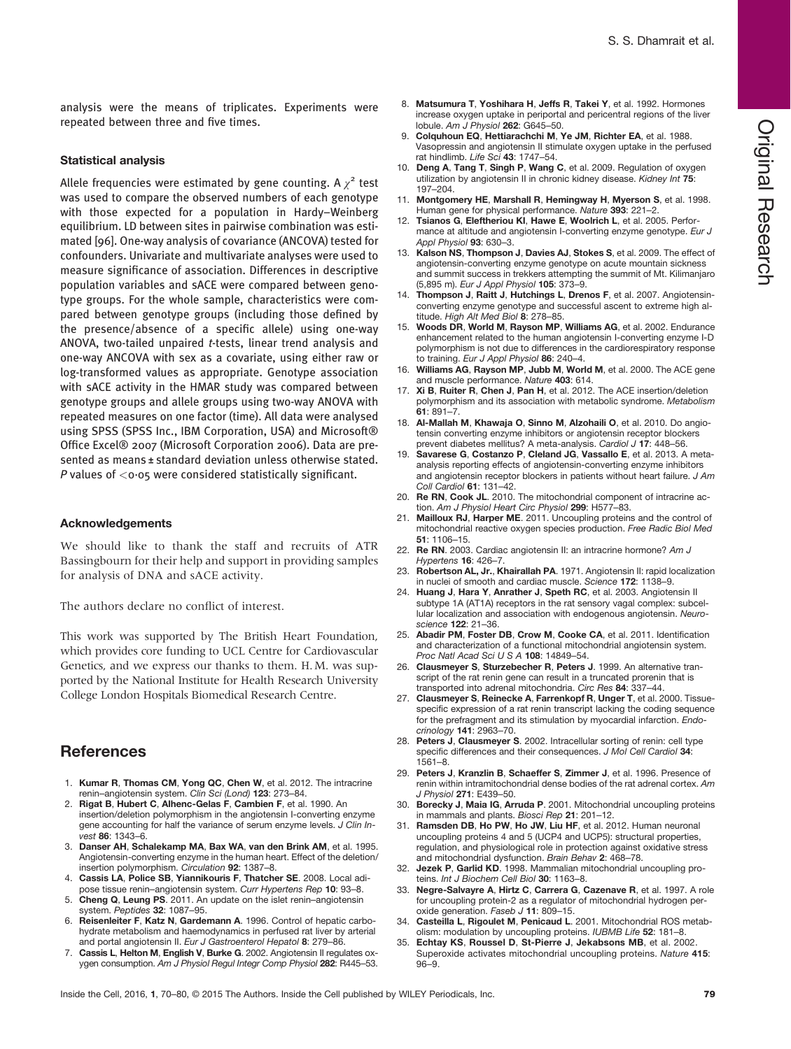analysis were the means of triplicates. Experiments were repeated between three and five times.

#### Statistical analysis

Allele frequencies were estimated by gene counting. A  $\chi^2$  test was used to compare the observed numbers of each genotype with those expected for a population in Hardy–Weinberg equilibrium. LD between sites in pairwise combination was estimated [96]. One-way analysis of covariance (ANCOVA) tested for confounders. Univariate and multivariate analyses were used to measure significance of association. Differences in descriptive population variables and sACE were compared between genotype groups. For the whole sample, characteristics were compared between genotype groups (including those defined by the presence/absence of a specific allele) using one-way ANOVA, two-tailed unpaired t-tests, linear trend analysis and one-way ANCOVA with sex as a covariate, using either raw or log-transformed values as appropriate. Genotype association with sACE activity in the HMAR study was compared between genotype groups and allele groups using two-way ANOVA with repeated measures on one factor (time). All data were analysed using SPSS (SPSS Inc., IBM Corporation, USA) and Microsoft® Office Excel® 2007 (Microsoft Corporation 2006). Data are presented as means ± standard deviation unless otherwise stated. P values of  $\langle 0.05 \rangle$  were considered statistically significant.

#### Acknowledgements

We should like to thank the staff and recruits of ATR Bassingbourn for their help and support in providing samples for analysis of DNA and sACE activity.

The authors declare no conflict of interest.

This work was supported by The British Heart Foundation, which provides core funding to UCL Centre for Cardiovascular Genetics, and we express our thanks to them. H.M. was supported by the National Institute for Health Research University College London Hospitals Biomedical Research Centre.

#### **References**

- 1. Kumar R, Thomas CM, Yong QC, Chen W, et al. 2012. The intracrine renin–angiotensin system. Clin Sci (Lond) 123: 273–84.
- 2. Rigat B, Hubert C, Alhenc-Gelas F, Cambien F, et al. 1990. An insertion/deletion polymorphism in the angiotensin I-converting enzyme gene accounting for half the variance of serum enzyme levels. J Clin Invest 86: 1343–6.
- 3. Danser AH, Schalekamp MA, Bax WA, van den Brink AM, et al. 1995. Angiotensin-converting enzyme in the human heart. Effect of the deletion/ insertion polymorphism. Circulation 92: 1387–8.
- 4. Cassis LA, Police SB, Yiannikouris F, Thatcher SE. 2008. Local adipose tissue renin–angiotensin system. Curr Hypertens Rep 10: 93-8.
- 5. Cheng Q, Leung PS. 2011. An update on the islet renin–angiotensin system. Peptides 32: 1087–95.
- 6. Reisenleiter F, Katz N, Gardemann A. 1996. Control of hepatic carbohydrate metabolism and haemodynamics in perfused rat liver by arterial and portal angiotensin II. Eur J Gastroenterol Hepatol 8: 279-86.
- 7. Cassis L, Helton M, English V, Burke G. 2002. Angiotensin II regulates oxygen consumption. Am J Physiol Regul Integr Comp Physiol 282: R445–53.
- 8. Matsumura T, Yoshihara H, Jeffs R, Takei Y, et al. 1992. Hormones increase oxygen uptake in periportal and pericentral regions of the liver lobule. Am J Physiol 262: G645–50.
- Colquhoun EQ, Hettiarachchi M, Ye JM, Richter EA, et al. 1988. Vasopressin and angiotensin II stimulate oxygen uptake in the perfused rat hindlimb. Life Sci 43: 1747–54.
- 10. Deng A, Tang T, Singh P, Wang C, et al. 2009. Regulation of oxygen utilization by angiotensin II in chronic kidney disease. Kidney Int 75: 197–204.
- 11. Montgomery HE, Marshall R, Hemingway H, Myerson S, et al. 1998. Human gene for physical performance. Nature 393: 221-2.
- 12. Tsianos G, Eleftheriou KI, Hawe E, Woolrich L, et al. 2005. Performance at altitude and angiotensin I-converting enzyme genotype. Eur J Appl Physiol 93: 630–3.
- 13. Kalson NS, Thompson J, Davies AJ, Stokes S, et al. 2009. The effect of angiotensin-converting enzyme genotype on acute mountain sickness and summit success in trekkers attempting the summit of Mt. Kilimanjaro (5,895 m). Eur J Appl Physiol 105: 373–9.
- 14. Thompson J, Raitt J, Hutchings L, Drenos F, et al. 2007. Angiotensinconverting enzyme genotype and successful ascent to extreme high altitude. High Alt Med Biol 8: 278-85.
- 15. Woods DR, World M, Rayson MP, Williams AG, et al. 2002. Endurance enhancement related to the human angiotensin I-converting enzyme I-D polymorphism is not due to differences in the cardiorespiratory response to training. Eur J Appl Physiol 86: 240-4.
- Williams AG, Rayson MP, Jubb M, World M, et al. 2000. The ACE gene and muscle performance. Nature 403: 614.
- 17. Xi B, Ruiter R, Chen J, Pan H, et al. 2012. The ACE insertion/deletion polymorphism and its association with metabolic syndrome. Metabolism 61: 891–7.
- 18. Al-Mallah M, Khawaja O, Sinno M, Alzohaili O, et al. 2010. Do angiotensin converting enzyme inhibitors or angiotensin receptor blockers
- prevent diabetes mellitus? A meta-analysis. Cardiol J 17: 448-56.<br>19. Savarese G, Costanzo P, Cleland JG, Vassallo E, et al. 2013. A metaanalysis reporting effects of angiotensin-converting enzyme inhibitors and angiotensin receptor blockers in patients without heart failure. J Am Coll Cardiol 61: 131–42.
- 20. Re RN, Cook JL. 2010. The mitochondrial component of intracrine action. Am J Physiol Heart Circ Physiol 299: H577–83.
- Mailloux RJ, Harper ME. 2011. Uncoupling proteins and the control of mitochondrial reactive oxygen species production. Free Radic Biol Med 51: 1106–15.
- 22. Re RN. 2003. Cardiac angiotensin II: an intracrine hormone? Am J Hypertens 16: 426–7.
- 23. Robertson AL, Jr., Khairallah PA. 1971. Angiotensin II: rapid localization in nuclei of smooth and cardiac muscle. Science 172: 1138–9.
- 24. Huang J, Hara Y, Anrather J, Speth RC, et al. 2003. Angiotensin II subtype 1A (AT1A) receptors in the rat sensory vagal complex: subcellular localization and association with endogenous angiotensin. Neuroscience 122: 21–36.
- 25. Abadir PM, Foster DB, Crow M, Cooke CA, et al. 2011. Identification and characterization of a functional mitochondrial angiotensin system. Proc Natl Acad Sci U S A 108: 14849–54.
- 26. Clausmeyer S, Sturzebecher R, Peters J. 1999. An alternative transcript of the rat renin gene can result in a truncated prorenin that is transported into adrenal mitochondria. Circ Res 84: 337–44.
- 27. Clausmeyer S, Reinecke A, Farrenkopf R, Unger T, et al. 2000. Tissuespecific expression of a rat renin transcript lacking the coding sequence for the prefragment and its stimulation by myocardial infarction. Endocrinology 141: 2963–70.
- 28. Peters J, Clausmeyer S. 2002. Intracellular sorting of renin: cell type specific differences and their consequences. J Mol Cell Cardiol 34: 1561–8.
- 29. Peters J, Kranzlin B, Schaeffer S, Zimmer J, et al. 1996. Presence of renin within intramitochondrial dense bodies of the rat adrenal cortex. Am J Physiol 271: E439–50.
- 30. Borecky J, Maia IG, Arruda P. 2001. Mitochondrial uncoupling proteins in mammals and plants. Biosci Rep 21: 201–12.
- 31. Ramsden DB, Ho PW, Ho JW, Liu HF, et al. 2012. Human neuronal uncoupling proteins 4 and 5 (UCP4 and UCP5): structural properties, regulation, and physiological role in protection against oxidative stress and mitochondrial dysfunction. Brain Behav 2: 468–78.
- 32. Jezek P, Garlid KD. 1998. Mammalian mitochondrial uncoupling pro-<br>teins. Int J Biochem Cell Biol 30: 1163–8.
- 33. Negre-Salvayre A, Hirtz C, Carrera G, Cazenave R, et al. 1997. A role for uncoupling protein-2 as a regulator of mitochondrial hydrogen peroxide generation. Faseb J 11: 809-15.
- Casteilla L, Rigoulet M, Penicaud L. 2001. Mitochondrial ROS metabolism: modulation by uncoupling proteins. IUBMB Life 52: 181-8.
- 35. Echtay KS, Roussel D, St-Pierre J, Jekabsons MB, et al. 2002. Superoxide activates mitochondrial uncoupling proteins. Nature 415: 96–9.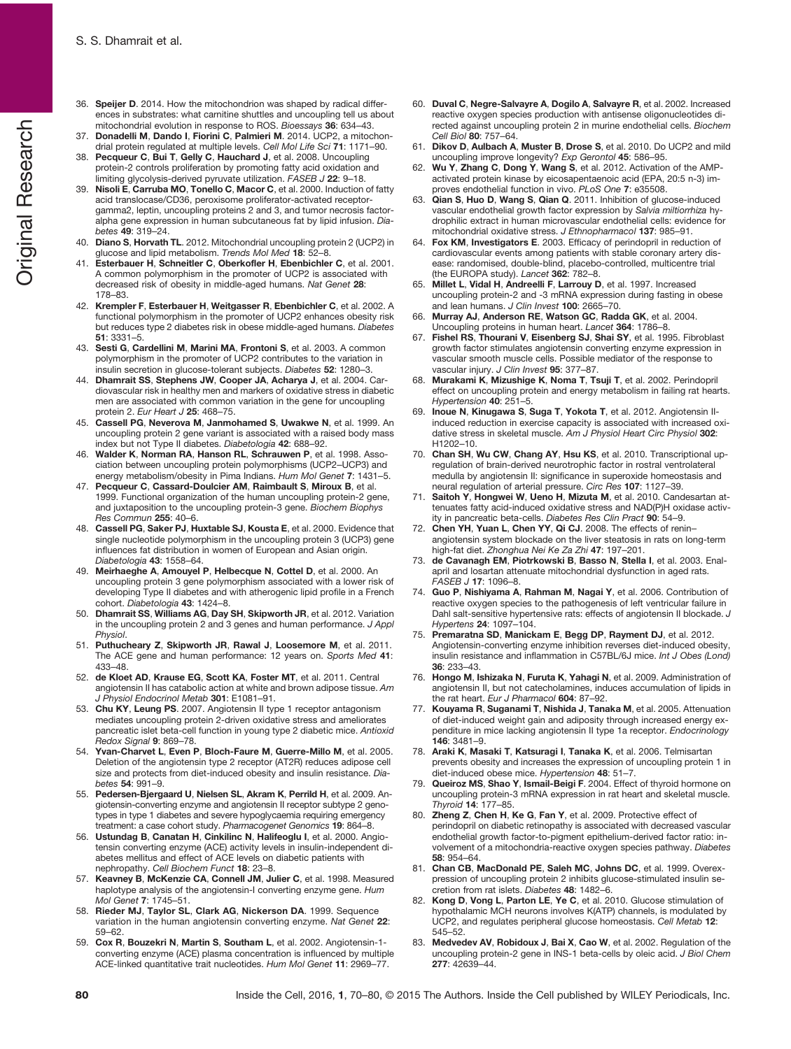- 36. Speijer D. 2014. How the mitochondrion was shaped by radical differences in substrates: what carnitine shuttles and uncoupling tell us about mitochondrial evolution in response to ROS. Bioessays 36: 634–43.
- 37. Donadelli M, Dando I, Fiorini C, Palmieri M. 2014. UCP2, a mitochondrial protein regulated at multiple levels. Cell Mol Life Sci 71: 1171–90.
- 38. Pecqueur C, Bui T, Gelly C, Hauchard J, et al. 2008. Uncoupling protein-2 controls proliferation by promoting fatty acid oxidation and limiting glycolysis-derived pyruvate utilization. FASEB J 22: 9-18.
- 39. Nisoli E, Carruba MO, Tonello C, Macor C, et al. 2000. Induction of fatty acid translocase/CD36, peroxisome proliferator-activated receptorgamma2, leptin, uncoupling proteins 2 and 3, and tumor necrosis factoralpha gene expression in human subcutaneous fat by lipid infusion. Diabetes 49: 319–24.
- 40. Diano S, Horvath TL. 2012. Mitochondrial uncoupling protein 2 (UCP2) in
- glucose and lipid metabolism. Trends Mol Med 18: 52-8.<br>41. Esterbauer H, Schneitler C, Oberkofler H, Ebenbichler C, et al. 2001. A common polymorphism in the promoter of UCP2 is associated with decreased risk of obesity in middle-aged humans. Nat Genet 28: 178–83.
- 42. Krempler F, Esterbauer H, Weitgasser R, Ebenbichler C, et al. 2002. A functional polymorphism in the promoter of UCP2 enhances obesity risk but reduces type 2 diabetes risk in obese middle-aged humans. Diabetes 51: 3331–5.
- 43. Sesti G, Cardellini M, Marini MA, Frontoni S, et al. 2003. A common polymorphism in the promoter of UCP2 contributes to the variation in insulin secretion in glucose-tolerant subjects. Diabetes 52: 1280–3.
- 44. Dhamrait SS, Stephens JW, Cooper JA, Acharya J, et al. 2004. Cardiovascular risk in healthy men and markers of oxidative stress in diabetic men are associated with common variation in the gene for uncoupling protein 2. Eur Heart J 25: 468-75.
- 45. Cassell PG, Neverova M, Janmohamed S, Uwakwe N, et al. 1999. An uncoupling protein 2 gene variant is associated with a raised body mass index but not Type II diabetes. Diabetologia 42: 688–92.
- 46. Walder K, Norman RA, Hanson RL, Schrauwen P, et al. 1998. Association between uncoupling protein polymorphisms (UCP2–UCP3) and energy metabolism/obesity in Pima Indians. Hum Mol Genet 7: 1431-5.
- 47. Pecqueur C, Cassard-Doulcier AM, Raimbault S, Miroux B, et al. 1999. Functional organization of the human uncoupling protein-2 gene, and juxtaposition to the uncoupling protein-3 gene. Biochem Biophys Res Commun 255: 40–6.
- 48. Cassell PG, Saker PJ, Huxtable SJ, Kousta E, et al. 2000. Evidence that single nucleotide polymorphism in the uncoupling protein 3 (UCP3) gene influences fat distribution in women of European and Asian origin. Diabetologia 43: 1558-64
- 49. Meirhaeghe A, Amouyel P, Helbecque N, Cottel D, et al. 2000. An uncoupling protein 3 gene polymorphism associated with a lower risk of developing Type II diabetes and with atherogenic lipid profile in a French cohort. Diabetologia 43: 1424–8.
- 50. Dhamrait SS, Williams AG, Day SH, Skipworth JR, et al. 2012. Variation in the uncoupling protein 2 and 3 genes and human performance. J Appl Physiol.
- 51. Puthucheary Z, Skipworth JR, Rawal J, Loosemore M, et al. 2011. The ACE gene and human performance: 12 years on. Sports Med 41: 433–48.
- 52. de Kloet AD, Krause EG, Scott KA, Foster MT, et al. 2011. Central angiotensin II has catabolic action at white and brown adipose tissue. Am J Physiol Endocrinol Metab 301: E1081-91.
- 53. Chu KY, Leung PS. 2007. Angiotensin II type 1 receptor antagonism mediates uncoupling protein 2-driven oxidative stress and ameliorates pancreatic islet beta-cell function in young type 2 diabetic mice. Antioxid Redox Signal 9: 869–78.
- 54. Yvan-Charvet L, Even P, Bloch-Faure M, Guerre-Millo M, et al. 2005. Deletion of the angiotensin type 2 receptor (AT2R) reduces adipose cell size and protects from diet-induced obesity and insulin resistance. Diabetes 54: 991–9.
- 55. Pedersen-Bjergaard U, Nielsen SL, Akram K, Perrild H, et al. 2009. Angiotensin-converting enzyme and angiotensin II receptor subtype 2 genotypes in type 1 diabetes and severe hypoglycaemia requiring emergency treatment: a case cohort study. Pharmacogenet Genomics 19: 864-8.
- 56. Ustundag B, Canatan H, Cinkilinc N, Halifeoglu I, et al. 2000. Angiotensin converting enzyme (ACE) activity levels in insulin-independent diabetes mellitus and effect of ACE levels on diabetic patients with
- nephropathy. Cell Biochem Funct 18: 23-8.<br>57. Keavney B, McKenzie CA, Connell JM, Julier C, et al. 1998. Measured haplotype analysis of the angiotensin-I converting enzyme gene. Hum Mol Genet 7: 1745–51.
- 58. Rieder MJ, Taylor SL, Clark AG, Nickerson DA. 1999. Sequence variation in the human angiotensin converting enzyme. Nat Genet 22: 59–62.
- 59. Cox R, Bouzekri N, Martin S, Southam L, et al. 2002. Angiotensin-1 converting enzyme (ACE) plasma concentration is influenced by multiple ACE-linked quantitative trait nucleotides. Hum Mol Genet 11: 2969–77.
- 60. Duval C, Negre-Salvayre A, Dogilo A, Salvayre R, et al. 2002. Increased reactive oxygen species production with antisense oligonucleotides directed against uncoupling protein 2 in murine endothelial cells. Biochem Cell Biol 80: 757–64.
- 61. Dikov D, Aulbach A, Muster B, Drose S, et al. 2010. Do UCP2 and mild uncoupling improve longevity? Exp Gerontol 45: 586-95.
- Wu Y, Zhang C, Dong Y, Wang S, et al. 2012. Activation of the AMPactivated protein kinase by eicosapentaenoic acid (EPA, 20:5 n-3) improves endothelial function in vivo. PLoS One 7: e35508.
- 63. Qian S, Huo D, Wang S, Qian Q. 2011. Inhibition of glucose-induced vascular endothelial growth factor expression by Salvia miltiorrhiza hydrophilic extract in human microvascular endothelial cells: evidence for mitochondrial oxidative stress. J Ethnopharmacol 137: 985–91.
- 64. Fox KM, Investigators E. 2003. Efficacy of perindopril in reduction of cardiovascular events among patients with stable coronary artery disease: randomised, double-blind, placebo-controlled, multicentre trial (the EUROPA study). Lancet 362: 782–8.
- 65. Millet L, Vidal H, Andreelli F, Larrouy D, et al. 1997. Increased uncoupling protein-2 and -3 mRNA expression during fasting in obese and lean humans. J Clin Invest 100: 2665-70.
- 66. Murray AJ, Anderson RE, Watson GC, Radda GK, et al. 2004. Uncoupling proteins in human heart. Lancet 364: 1786–8.
- 67. Fishel RS, Thourani V, Eisenberg SJ, Shai SY, et al. 1995. Fibroblast growth factor stimulates angiotensin converting enzyme expression in vascular smooth muscle cells. Possible mediator of the response to vascular injury. J Clin Invest 95: 377-87.
- 68. Murakami K, Mizushige K, Noma T, Tsuji T, et al. 2002. Perindopril effect on uncoupling protein and energy metabolism in failing rat hearts. Hypertension 40: 251–5.
- Inoue N, Kinugawa S, Suga T, Yokota T, et al. 2012. Angiotensin IIinduced reduction in exercise capacity is associated with increased oxidative stress in skeletal muscle. Am J Physiol Heart Circ Physiol 302: H1202–10.
- 70. Chan SH, Wu CW, Chang AY, Hsu KS, et al. 2010. Transcriptional upregulation of brain-derived neurotrophic factor in rostral ventrolateral medulla by angiotensin II: significance in superoxide homeostasis and neural regulation of arterial pressure. Circ Res 107: 1127–39.
- 71. Saitoh Y, Hongwei W, Ueno H, Mizuta M, et al. 2010. Candesartan attenuates fatty acid-induced oxidative stress and NAD(P)H oxidase activity in pancreatic beta-cells. Diabetes Res Clin Pract 90: 54–9.
- 72. Chen YH, Yuan L, Chen YY, Qi CJ. 2008. The effects of renin– angiotensin system blockade on the liver steatosis in rats on long-term high-fat diet. Zhonghua Nei Ke Za Zhi 47: 197–201.
- 73. de Cavanagh EM, Piotrkowski B, Basso N, Stella I, et al. 2003. Enalapril and losartan attenuate mitochondrial dysfunction in aged rats.  $FASFR$   $J$  17: 1096-8.
- 74. Guo P, Nishiyama A, Rahman M, Nagai Y, et al. 2006. Contribution of reactive oxygen species to the pathogenesis of left ventricular failure in Dahl salt-sensitive hypertensive rats: effects of angiotensin II blockade. J Hypertens 24: 1097–104.
- Premaratna SD, Manickam E, Begg DP, Rayment DJ, et al. 2012. Angiotensin-converting enzyme inhibition reverses diet-induced obesity, insulin resistance and inflammation in C57BL/6J mice. Int J Obes (Lond) 36: 233–43.
- 76. Hongo M, Ishizaka N, Furuta K, Yahagi N, et al. 2009. Administration of angiotensin II, but not catecholamines, induces accumulation of lipids in the rat heart. Eur J Pharmacol 604: 87-92.
- Kouyama R, Suganami T, Nishida J, Tanaka M, et al. 2005. Attenuation of diet-induced weight gain and adiposity through increased energy expenditure in mice lacking angiotensin II type 1a receptor. Endocrinology 146: 3481–9.
- 78. Araki K, Masaki T, Katsuragi I, Tanaka K, et al. 2006. Telmisartan prevents obesity and increases the expression of uncoupling protein 1 in diet-induced obese mice. Hypertension 48: 51–7.
- Queiroz MS, Shao Y, Ismail-Beigi F. 2004. Effect of thyroid hormone on uncoupling protein-3 mRNA expression in rat heart and skeletal muscle. Thyroid 14: 177–85.
- 80. Zheng Z, Chen H, Ke G, Fan Y, et al. 2009. Protective effect of perindopril on diabetic retinopathy is associated with decreased vascular endothelial growth factor-to-pigment epithelium-derived factor ratio: involvement of a mitochondria-reactive oxygen species pathway. Diabetes 58: 954–64.
- 81. Chan CB, MacDonald PE, Saleh MC, Johns DC, et al. 1999. Overexpression of uncoupling protein 2 inhibits glucose-stimulated insulin secretion from rat islets. Diabetes 48: 1482–6.
- 82. Kong D, Vong L, Parton LE, Ye C, et al. 2010. Glucose stimulation of hypothalamic MCH neurons involves K(ATP) channels, is modulated by UCP2, and regulates peripheral glucose homeostasis. Cell Metab 12: 545–52.
- 83. Medvedev AV, Robidoux J, Bai X, Cao W, et al. 2002. Regulation of the uncoupling protein-2 gene in INS-1 beta-cells by oleic acid. J Biol Chem 277: 42639–44.